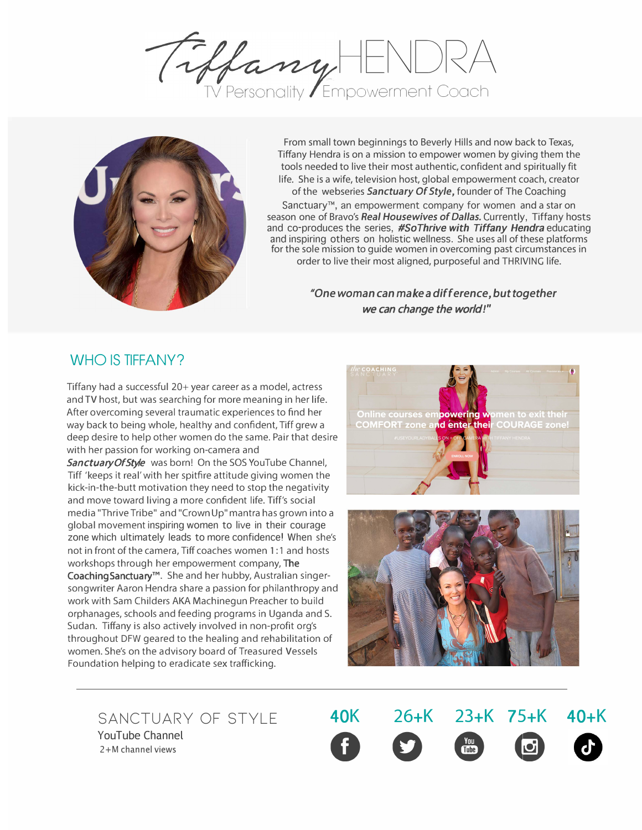HENORA Empowerment Cooch



From small town beginnings to Beverly Hills and now back to Texas, Tiffany Hendra is on a mission to empower women by giving them the tools needed to live their most authentic, confident and spiritually fit life. She is a wife, television host, global empowerment coach, creator of the webseries *Sanctuary Of Style,* founder of The Coaching

Sanctuary™, an empowerment company for women and a star on season one of Bravo's Real Housewives of Dallas. Currently, Tiffany hosts and co-produces the series, *#SoTh[rive with Tiffany Hendra](https://www.mywellnessbynature.com/sothrive)* educating and inspiring others on holistic wellness. She uses all of these platforms for the sole mission to guide women in overcoming past circumstances in order to live their most aligned, purposeful and THRIVING life.

> *"One woman can make a difference, but together* we can change the world*!"*

## WHO IS [TIFFANY?](https://sanctuaryofstyle.net)

Tiffany had a successful 20+ year career as a model, actress and TV host, but was searching for more meaning in her life. After overcoming several traumatic experiences to find her way back to being whole, healthy and confident, Tiff grew a deep desire to help other women do the same. Pair that desire with her passion for working on-camera and

[Sanctuary Of](sanctuaryofstyle.net) Style was born! On the SOS YouTube Channel, Tiff 'keeps it real'with her spitfire attitude giving women the kick-in-the-butt motivation they need to stop the negativity and move toward living a more confident life. Tiff's social media "Thrive Tribe" and "Crown Up" mantra has grown into a global movement inspiring women to live in their courage zone which ultimately leads to more confidence! When she's not in front of the camera, Tiff coaches women 1 :1 and hosts workshops through her empowerment company, The [Coaching Sanctuary](https://www.tiffanyhendra.com)**™**. She and her hubby, Australian singersongwriter Aaron Hendra share a passion for philanthropy and work with Sam Childers AKA Machinegun Preacher to build orphanages, schools and feeding programs in Uganda and S. Sudan. Tiffany is also actively involved in non-profit org's throughout DFW geared to the healing and rehabilitation of women. She's on the advisory board of Treasured Vessels Foundation helping to eradicate sex trafficking.





YouTube Channel

[Sanctuary Of](https://sanctuaryofstyle.net) [Style](https://www.youtube.com/user/tiffanybolton11) **40K 26+K 23+K 75+K 40+K** SANCTUARY OF STYLE **40K 26+K 23+K 75+K**<br>
PouTube Channel<br>
2+M channel views **1**